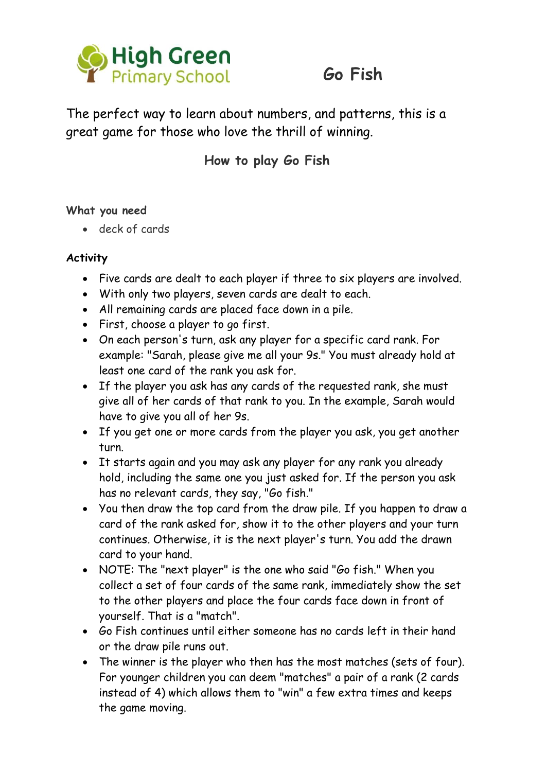

# **Go Fish**

The perfect way to learn about numbers, and patterns, this is a great game for those who love the thrill of winning.

### **How to play Go Fish**

#### **What you need**

deck of cards

#### **Activity**

- Five cards are dealt to each player if three to six players are involved.
- With only two players, seven cards are dealt to each.
- All remaining cards are placed face down in a pile.
- First, choose a player to go first.
- On each person's turn, ask any player for a specific card rank. For example: "Sarah, please give me all your 9s." You must already hold at least one card of the rank you ask for.
- If the player you ask has any cards of the requested rank, she must give all of her cards of that rank to you. In the example, Sarah would have to give you all of her 9s.
- If you get one or more cards from the player you ask, you get another turn.
- It starts again and you may ask any player for any rank you already hold, including the same one you just asked for. If the person you ask has no relevant cards, they say, "Go fish."
- You then draw the top card from the draw pile. If you happen to draw a card of the rank asked for, show it to the other players and your turn continues. Otherwise, it is the next player's turn. You add the drawn card to your hand.
- NOTE: The "next player" is the one who said "Go fish." When you collect a set of four cards of the same rank, immediately show the set to the other players and place the four cards face down in front of yourself. That is a "match".
- Go Fish continues until either someone has no cards left in their hand or the draw pile runs out.
- The winner is the player who then has the most matches (sets of four). For younger children you can deem "matches" a pair of a rank (2 cards instead of 4) which allows them to "win" a few extra times and keeps the game moving.